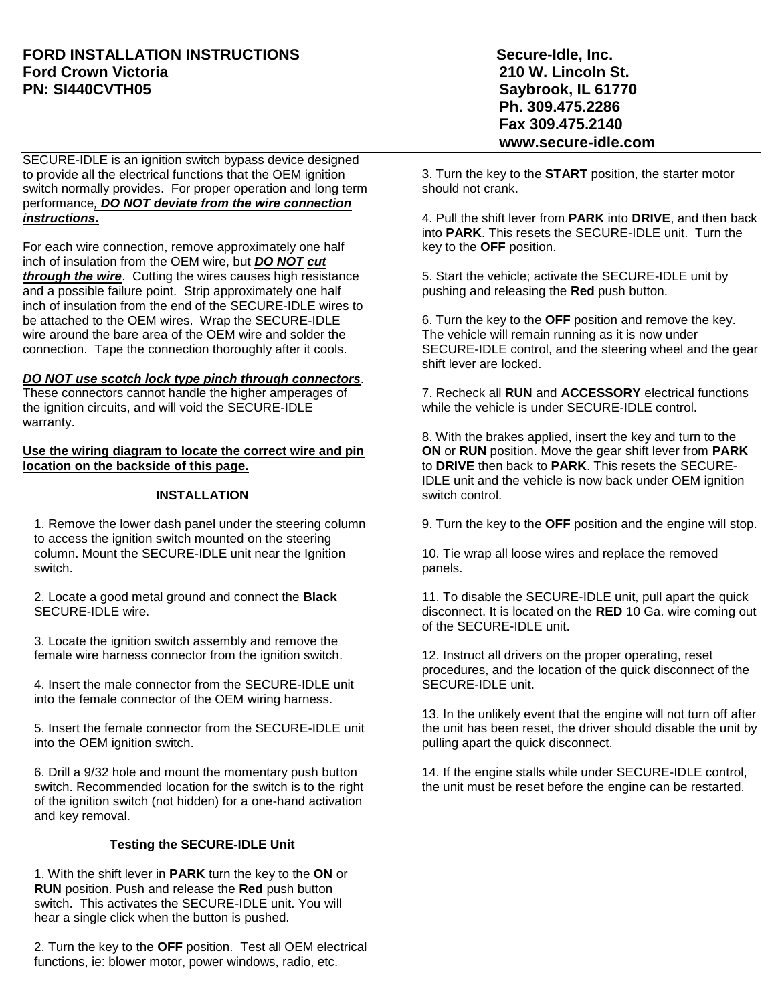## **FORD INSTALLATION INSTRUCTIONS Secure-Idle, Inc. Ford Crown Victoria 210 W. Lincoln St. PN: SI440CVTH05** Saybrook, IL 61770

SECURE-IDLE is an ignition switch bypass device designed to provide all the electrical functions that the OEM ignition switch normally provides. For proper operation and long term performance*, DO NOT deviate from the wire connection instructions***.**

For each wire connection, remove approximately one half inch of insulation from the OEM wire, but *DO NOT cut through the wire*. Cutting the wires causes high resistance and a possible failure point. Strip approximately one half inch of insulation from the end of the SECURE-IDLE wires to be attached to the OEM wires. Wrap the SECURE-IDLE wire around the bare area of the OEM wire and solder the connection. Tape the connection thoroughly after it cools.

#### *DO NOT use scotch lock type pinch through connectors*.

These connectors cannot handle the higher amperages of the ignition circuits, and will void the SECURE-IDLE warranty.

**Use the wiring diagram to locate the correct wire and pin location on the backside of this page.**

### **INSTALLATION**

1. Remove the lower dash panel under the steering column to access the ignition switch mounted on the steering column. Mount the SECURE-IDLE unit near the Ignition switch.

2. Locate a good metal ground and connect the **Black** SECURE-IDLE wire.

3. Locate the ignition switch assembly and remove the female wire harness connector from the ignition switch.

4. Insert the male connector from the SECURE-IDLE unit into the female connector of the OEM wiring harness.

5. Insert the female connector from the SECURE-IDLE unit into the OEM ignition switch.

6. Drill a 9/32 hole and mount the momentary push button switch. Recommended location for the switch is to the right of the ignition switch (not hidden) for a one-hand activation and key removal.

### **Testing the SECURE-IDLE Unit**

1. With the shift lever in **PARK** turn the key to the **ON** or **RUN** position. Push and release the **Red** push button switch. This activates the SECURE-IDLE unit. You will hear a single click when the button is pushed.

2. Turn the key to the **OFF** position. Test all OEM electrical functions, ie: blower motor, power windows, radio, etc.

 **Ph. 309.475.2286 Fax 309.475.2140 www.secure-idle.com**

3. Turn the key to the **START** position, the starter motor should not crank.

4. Pull the shift lever from **PARK** into **DRIVE**, and then back into **PARK**. This resets the SECURE-IDLE unit. Turn the key to the **OFF** position.

5. Start the vehicle; activate the SECURE-IDLE unit by pushing and releasing the **Red** push button.

6. Turn the key to the **OFF** position and remove the key. The vehicle will remain running as it is now under SECURE-IDLE control, and the steering wheel and the gear shift lever are locked.

7. Recheck all **RUN** and **ACCESSORY** electrical functions while the vehicle is under SECURE-IDLE control.

8. With the brakes applied, insert the key and turn to the **ON** or **RUN** position. Move the gear shift lever from **PARK** to **DRIVE** then back to **PARK**. This resets the SECURE-IDLE unit and the vehicle is now back under OEM ignition switch control.

9. Turn the key to the **OFF** position and the engine will stop.

10. Tie wrap all loose wires and replace the removed panels.

11. To disable the SECURE-IDLE unit, pull apart the quick disconnect. It is located on the **RED** 10 Ga. wire coming out of the SECURE-IDLE unit.

 procedures, and the location of the quick disconnect of the 12. Instruct all drivers on the proper operating, reset SECURE-IDLE unit.

13. In the unlikely event that the engine will not turn off after the unit has been reset, the driver should disable the unit by pulling apart the quick disconnect.

14. If the engine stalls while under SECURE-IDLE control, the unit must be reset before the engine can be restarted.